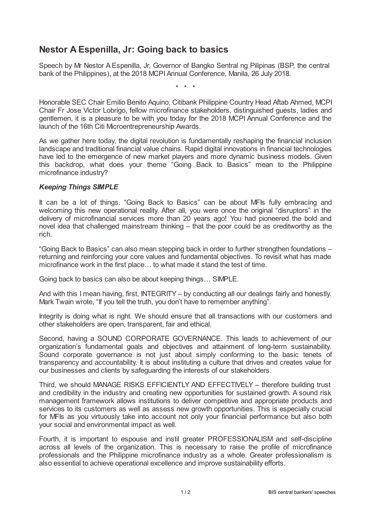## **Nestor A Espenilla, Jr: Going back to basics**

Speech by Mr Nestor A Espenilla, Jr, Governor of Bangko Sentral ng Pilipinas (BSP, the central bank of the Philippines), at the 2018 MCPI Annual Conference, Manila, 26 July 2018.

\* \* \*

Honorable SEC Chair Emilio Benito Aquino, Citibank Philippine Country Head Aftab Ahmed, MCPI Chair Fr Jose Victor Lobrigo, fellow microfinance stakeholders, distinguished guests, ladies and gentlemen, it is a pleasure to be with you today for the 2018 MCPI Annual Conference and the launch of the 16th Citi Microentrepreneurship Awards.

As we gather here today, the digital revolution is fundamentally reshaping the financial inclusion landscape and traditional financial value chains. Rapid digital innovations in financial technologies have led to the emergence of new market players and more dynamic business models. Given this backdrop, what does your theme "Going Back to Basics" mean to the Philippine microfinance industry?

## *Keeping Things SIMPLE*

It can be a lot of things. "Going Back to Basics" can be about MFIs fully embracing and welcoming this new operational reality. After all, you were once the original "disruptors" in the delivery of microfinancial services more than 20 years ago! You had pioneered the bold and novel idea that challenged mainstream thinking – that the poor could be as creditworthy as the rich.

"Going Back to Basics" can also mean stepping back in order to further strengthen foundations – returning and reinforcing your core values and fundamental objectives. To revisit what has made microfinance work in the first place… to what made it stand the test of time.

Going back to basics can also be about keeping things… SIMPLE.

And with this I mean having, first, INTEGRITY – by conducting all our dealings fairly and honestly. Mark Twain wrote, "If you tell the truth, you don't have to remember anything".

Integrity is doing what is right. We should ensure that all transactions with our customers and other stakeholders are open, transparent, fair and ethical.

Second, having a SOUND CORPORATE GOVERNANCE. This leads to achievement of our organization's fundamental goals and objectives and attainment of long-term sustainability. Sound corporate governance is not just about simply conforming to the basic tenets of transparency and accountability. It is about instituting a culture that drives and creates value for our businesses and clients by safeguarding the interests of our stakeholders.

Third, we should MANAGE RISKS EFFICIENTLY AND EFFECTIVELY – therefore building trust and credibility in the industry and creating new opportunities for sustained growth. A sound risk management framework allows institutions to deliver competitive and appropriate products and services to its customers as well as assess new growth opportunities. This is especially crucial for MFIs as you virtuously take into account not only your financial performance but also both your social and environmental impact as well.

Fourth, it is important to espouse and instil greater PROFESSIONALISM and self-discipline across all levels of the organization. This is necessary to raise the profile of microfinance professionals and the Philippine microfinance industry as a whole. Greater professionalism is also essential to achieve operational excellence and improve sustainability efforts.